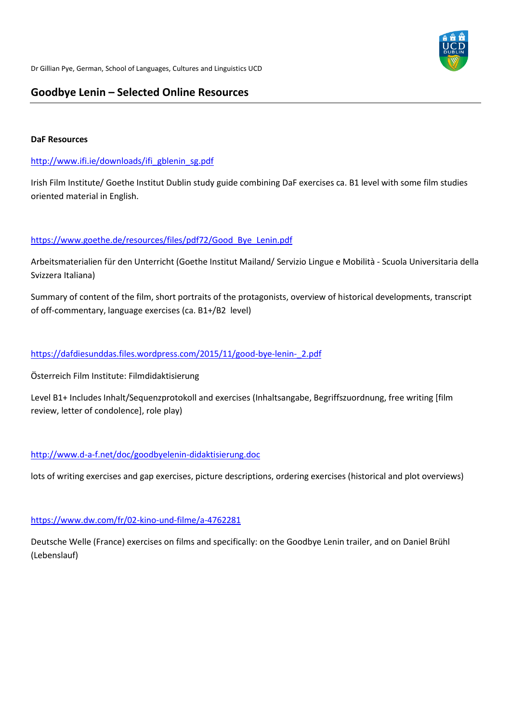

# **Goodbye Lenin – Selected Online Resources**

## **DaF Resources**

# [http://www.ifi.ie/downloads/ifi\\_gblenin\\_sg.pdf](http://www.ifi.ie/downloads/ifi_gblenin_sg.pdf)

Irish Film Institute/ Goethe Institut Dublin study guide combining DaF exercises ca. B1 level with some film studies oriented material in English.

# [https://www.goethe.de/resources/files/pdf72/Good\\_Bye\\_Lenin.pdf](https://www.goethe.de/resources/files/pdf72/Good_Bye_Lenin.pdf)

Arbeitsmaterialien für den Unterricht (Goethe Institut Mailand/ Servizio Lingue e Mobilità - Scuola Universitaria della Svizzera Italiana)

Summary of content of the film, short portraits of the protagonists, overview of historical developments, transcript of off-commentary, language exercises (ca. B1+/B2 level)

# [https://dafdiesunddas.files.wordpress.com/2015/11/good-bye-lenin-\\_2.pdf](https://dafdiesunddas.files.wordpress.com/2015/11/good-bye-lenin-_2.pdf)

Österreich Film Institute: Filmdidaktisierung

Level B1+ Includes Inhalt/Sequenzprotokoll and exercises (Inhaltsangabe, Begriffszuordnung, free writing [film review, letter of condolence], role play)

# <http://www.d-a-f.net/doc/goodbyelenin-didaktisierung.doc>

lots of writing exercises and gap exercises, picture descriptions, ordering exercises (historical and plot overviews)

# <https://www.dw.com/fr/02-kino-und-filme/a-4762281>

Deutsche Welle (France) exercises on films and specifically: on the Goodbye Lenin trailer, and on Daniel Brühl (Lebenslauf)